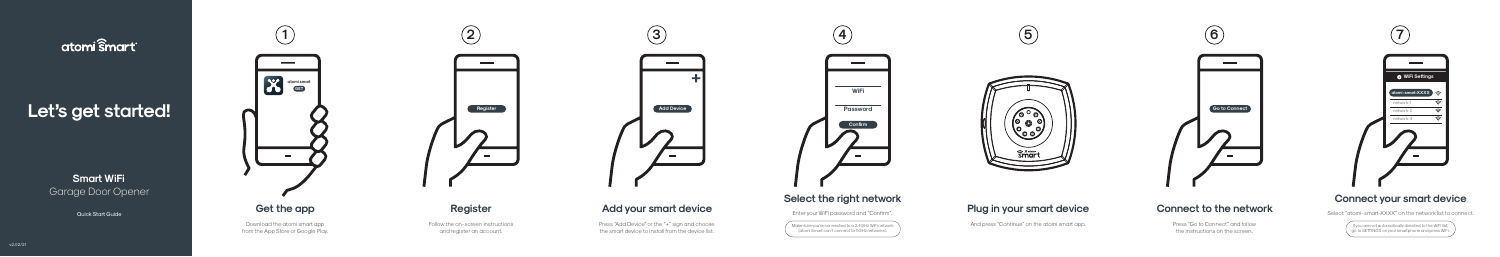# atomi ŝmart

# Let's get started!

Download the atomi smart app from the App Store or Google Play.



Press "Add Device" or the "+" sign and choose the smart device to install from the device list.

and register an account.

If you are not automatically directed to the WiFi list, go to SETTINGS on your smartphone and press WiFi.

# **Connect to the network**

Press "Go to Connect" and follow the instructions on the screen.



Make sure you're connected to a 2.4GHz WiFi network (atomi Smart can't connect to 5GHz networks).

And press "Continue" on the atomi smart app.

**Smart WiFi** Garage Door Opener



# **Connect your smart device**

Select "atomi-smart-XXXX" on the network list to connect.



# Add your smart device





# **Select the right network**

Enter your WiFi password and "Confirm".